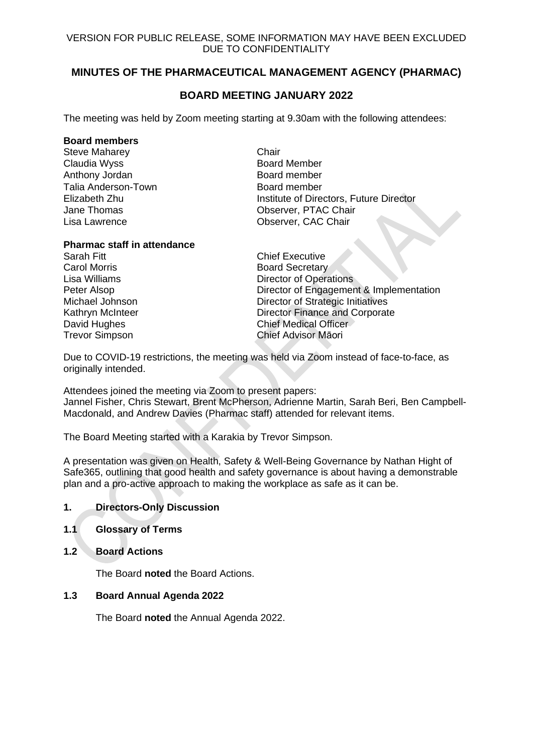# **MINUTES OF THE PHARMACEUTICAL MANAGEMENT AGENCY (PHARMAC)**

## **BOARD MEETING JANUARY 2022**

The meeting was held by Zoom meeting starting at 9.30am with the following attendees:

#### **Board members**

Steve Maharey **Chair** Claudia Wyss **Board Member** Anthony Jordan Board member Talia Anderson-Town **Board member** 

Elizabeth Zhu Institute of Directors, Future Director Jane Thomas **Observer, PTAC Chair** Lisa Lawrence Observer, CAC Chair

#### **Pharmac staff in attendance**

Sarah Fitt Chief Executive Carol Morris **Carol Morris Board Secretary** 

Lisa Williams **Director of Operations** Peter Alsop **Director of Engagement & Implementation** Michael Johnson **Director of Strategic Initiatives** Kathryn McInteer **Network** Director Finance and Corporate David Hughes **Chief Medical Officer** Trevor Simpson Chief Advisor Māori

Due to COVID-19 restrictions, the meeting was held via Zoom instead of face-to-face, as originally intended.

Attendees joined the meeting via Zoom to present papers: Jannel Fisher, Chris Stewart, Brent McPherson, Adrienne Martin, Sarah Beri, Ben Campbell-Macdonald, and Andrew Davies (Pharmac staff) attended for relevant items.

The Board Meeting started with a Karakia by Trevor Simpson.

A presentation was given on Health, Safety & Well-Being Governance by Nathan Hight of Safe365, outlining that good health and safety governance is about having a demonstrable plan and a pro-active approach to making the workplace as safe as it can be.

## **1. Directors-Only Discussion**

- **1.1 Glossary of Terms**
- **1.2 Board Actions**

The Board **noted** the Board Actions.

## **1.3 Board Annual Agenda 2022**

The Board **noted** the Annual Agenda 2022.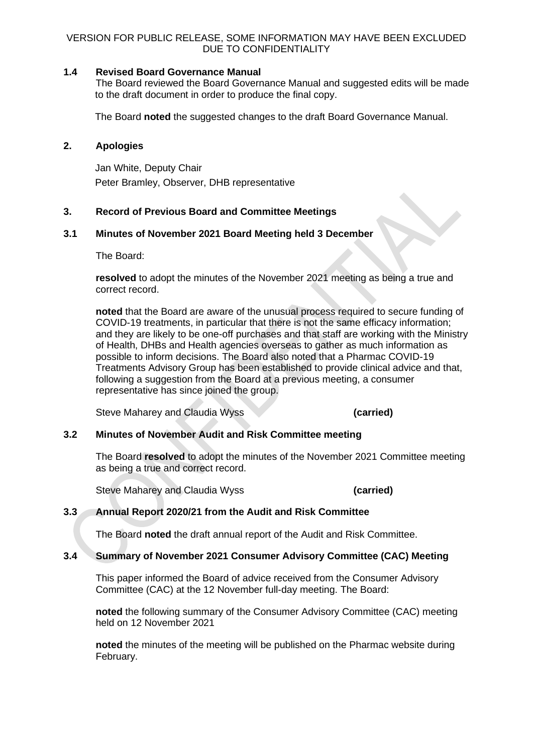### **1.4 Revised Board Governance Manual**

The Board reviewed the Board Governance Manual and suggested edits will be made to the draft document in order to produce the final copy.

The Board **noted** the suggested changes to the draft Board Governance Manual.

## **2. Apologies**

Jan White, Deputy Chair Peter Bramley, Observer, DHB representative

## **3. Record of Previous Board and Committee Meetings**

#### **3.1 Minutes of November 2021 Board Meeting held 3 December**

The Board:

**resolved** to adopt the minutes of the November 2021 meeting as being a true and correct record.

**noted** that the Board are aware of the unusual process required to secure funding of COVID-19 treatments, in particular that there is not the same efficacy information; and they are likely to be one-off purchases and that staff are working with the Ministry of Health, DHBs and Health agencies overseas to gather as much information as possible to inform decisions. The Board also noted that a Pharmac COVID-19 Treatments Advisory Group has been established to provide clinical advice and that, following a suggestion from the Board at a previous meeting, a consumer representative has since joined the group.

Steve Maharey and Claudia Wyss **(carried)**

## **3.2 Minutes of November Audit and Risk Committee meeting**

The Board **resolved** to adopt the minutes of the November 2021 Committee meeting as being a true and correct record.

Steve Maharey and Claudia Wyss **(carried)**

## **3.3 Annual Report 2020/21 from the Audit and Risk Committee**

The Board **noted** the draft annual report of the Audit and Risk Committee.

#### **3.4 Summary of November 2021 Consumer Advisory Committee (CAC) Meeting**

This paper informed the Board of advice received from the Consumer Advisory Committee (CAC) at the 12 November full-day meeting. The Board:

**noted** the following summary of the Consumer Advisory Committee (CAC) meeting held on 12 November 2021

**noted** the minutes of the meeting will be published on the Pharmac website during February.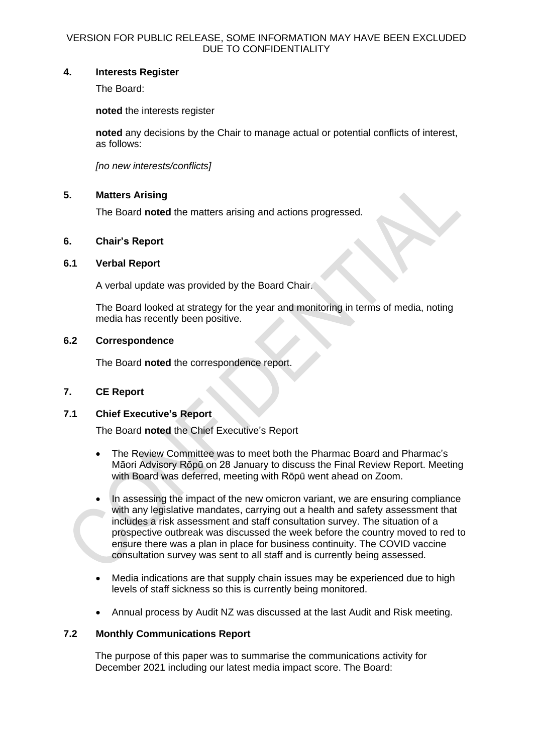## **4. Interests Register**

The Board:

**noted** the interests register

**noted** any decisions by the Chair to manage actual or potential conflicts of interest, as follows:

*[no new interests/conflicts]*

## **5. Matters Arising**

The Board **noted** the matters arising and actions progressed.

#### **6. Chair's Report**

#### **6.1 Verbal Report**

A verbal update was provided by the Board Chair.

The Board looked at strategy for the year and monitoring in terms of media, noting media has recently been positive.

#### **6.2 Correspondence**

The Board **noted** the correspondence report.

#### **7. CE Report**

## **7.1 Chief Executive's Report**

The Board **noted** the Chief Executive's Report

- The Review Committee was to meet both the Pharmac Board and Pharmac's Māori Advisory Rōpū on 28 January to discuss the Final Review Report. Meeting with Board was deferred, meeting with Rōpū went ahead on Zoom.
- In assessing the impact of the new omicron variant, we are ensuring compliance with any legislative mandates, carrying out a health and safety assessment that includes a risk assessment and staff consultation survey. The situation of a prospective outbreak was discussed the week before the country moved to red to ensure there was a plan in place for business continuity. The COVID vaccine consultation survey was sent to all staff and is currently being assessed.
- Media indications are that supply chain issues may be experienced due to high levels of staff sickness so this is currently being monitored.
- Annual process by Audit NZ was discussed at the last Audit and Risk meeting.

#### **7.2 Monthly Communications Report**

The purpose of this paper was to summarise the communications activity for December 2021 including our latest media impact score. The Board: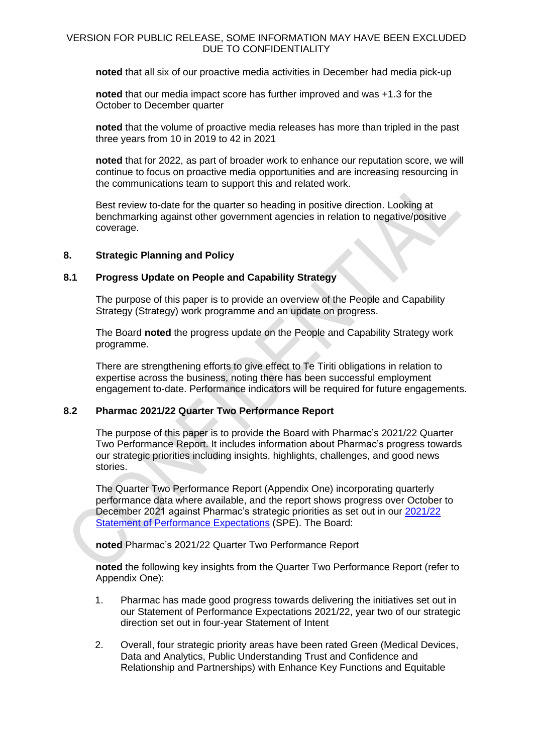**noted** that all six of our proactive media activities in December had media pick-up

**noted** that our media impact score has further improved and was +1.3 for the October to December quarter

**noted** that the volume of proactive media releases has more than tripled in the past three years from 10 in 2019 to 42 in 2021

**noted** that for 2022, as part of broader work to enhance our reputation score, we will continue to focus on proactive media opportunities and are increasing resourcing in the communications team to support this and related work.

Best review to-date for the quarter so heading in positive direction. Looking at benchmarking against other government agencies in relation to negative/positive coverage.

#### **8. Strategic Planning and Policy**

#### **8.1 Progress Update on People and Capability Strategy**

The purpose of this paper is to provide an overview of the People and Capability Strategy (Strategy) work programme and an update on progress.

The Board **noted** the progress update on the People and Capability Strategy work programme.

There are strengthening efforts to give effect to Te Tiriti obligations in relation to expertise across the business, noting there has been successful employment engagement to-date. Performance indicators will be required for future engagements.

## **8.2 Pharmac 2021/22 Quarter Two Performance Report**

The purpose of this paper is to provide the Board with Pharmac's 2021/22 Quarter Two Performance Report. It includes information about Pharmac's progress towards our strategic priorities including insights, highlights, challenges, and good news stories.

The Quarter Two Performance Report (Appendix One) incorporating quarterly performance data where available, and the report shows progress over October to December 2021 against Pharmac's strategic priorities as set out in our [2021/22](https://pharmac.govt.nz/assets/Statement-of-performance-expectations-2021.pdf)  Statement [of Performance Expectations](https://pharmac.govt.nz/assets/Statement-of-performance-expectations-2021.pdf) (SPE). The Board:

**noted** Pharmac's 2021/22 Quarter Two Performance Report

**noted** the following key insights from the Quarter Two Performance Report (refer to Appendix One):

- 1. Pharmac has made good progress towards delivering the initiatives set out in our Statement of Performance Expectations 2021/22, year two of our strategic direction set out in four-year Statement of Intent
- 2. Overall, four strategic priority areas have been rated Green (Medical Devices, Data and Analytics, Public Understanding Trust and Confidence and Relationship and Partnerships) with Enhance Key Functions and Equitable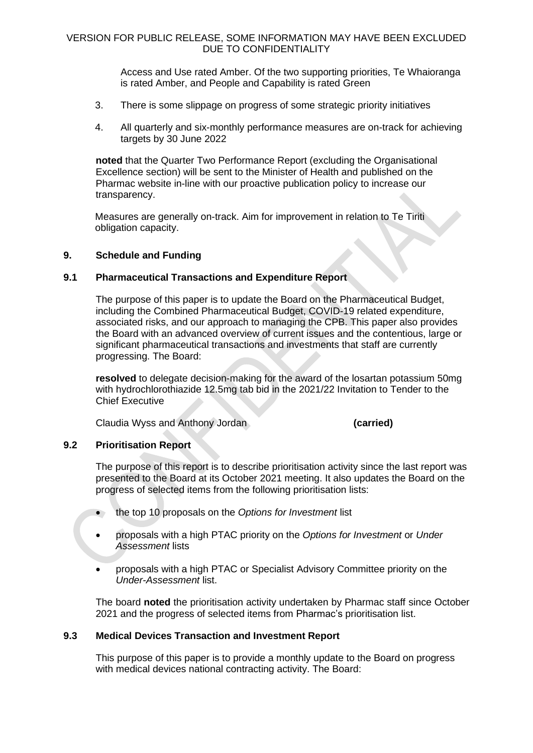Access and Use rated Amber. Of the two supporting priorities, Te Whaioranga is rated Amber, and People and Capability is rated Green

- 3. There is some slippage on progress of some strategic priority initiatives
- 4. All quarterly and six-monthly performance measures are on-track for achieving targets by 30 June 2022

**noted** that the Quarter Two Performance Report (excluding the Organisational Excellence section) will be sent to the Minister of Health and published on the Pharmac website in-line with our proactive publication policy to increase our transparency.

Measures are generally on-track. Aim for improvement in relation to Te Tiriti obligation capacity.

#### **9. Schedule and Funding**

#### **9.1 Pharmaceutical Transactions and Expenditure Report**

The purpose of this paper is to update the Board on the Pharmaceutical Budget, including the Combined Pharmaceutical Budget, COVID-19 related expenditure, associated risks, and our approach to managing the CPB. This paper also provides the Board with an advanced overview of current issues and the contentious, large or significant pharmaceutical transactions and investments that staff are currently progressing. The Board:

**resolved** to delegate decision-making for the award of the losartan potassium 50mg with hydrochlorothiazide 12.5mg tab bid in the 2021/22 Invitation to Tender to the Chief Executive

Claudia Wyss and Anthony Jordan **(carried)**

## **9.2 Prioritisation Report**

The purpose of this report is to describe prioritisation activity since the last report was presented to the Board at its October 2021 meeting. It also updates the Board on the progress of selected items from the following prioritisation lists:

- the top 10 proposals on the *Options for Investment* list
- proposals with a high PTAC priority on the *Options for Investment* or *Under Assessment* lists
- proposals with a high PTAC or Specialist Advisory Committee priority on the *Under-Assessment* list.

The board **noted** the prioritisation activity undertaken by Pharmac staff since October 2021 and the progress of selected items from Pharmac's prioritisation list.

#### **9.3 Medical Devices Transaction and Investment Report**

This purpose of this paper is to provide a monthly update to the Board on progress with medical devices national contracting activity. The Board: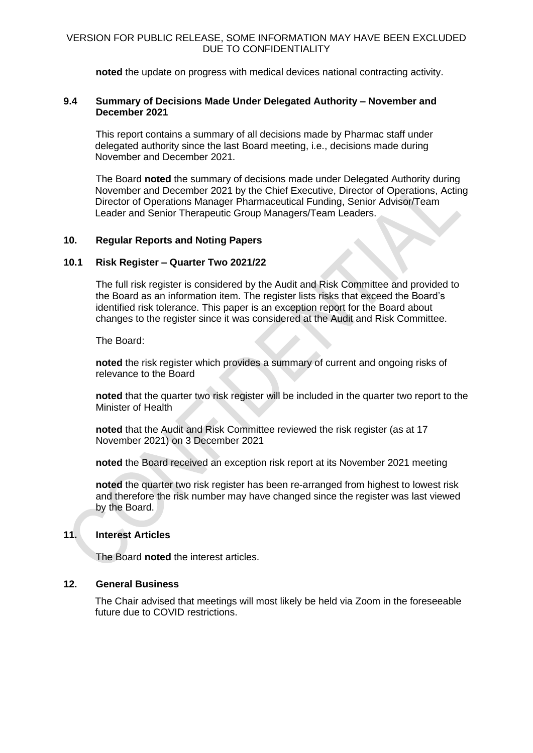**noted** the update on progress with medical devices national contracting activity.

#### **9.4 Summary of Decisions Made Under Delegated Authority – November and December 2021**

This report contains a summary of all decisions made by Pharmac staff under delegated authority since the last Board meeting, i.e., decisions made during November and December 2021.

The Board **noted** the summary of decisions made under Delegated Authority during November and December 2021 by the Chief Executive, Director of Operations, Acting Director of Operations Manager Pharmaceutical Funding, Senior Advisor/Team Leader and Senior Therapeutic Group Managers/Team Leaders.

#### **10. Regular Reports and Noting Papers**

#### **10.1 Risk Register – Quarter Two 2021/22**

The full risk register is considered by the Audit and Risk Committee and provided to the Board as an information item. The register lists risks that exceed the Board's identified risk tolerance. This paper is an exception report for the Board about changes to the register since it was considered at the Audit and Risk Committee.

The Board:

**noted** the risk register which provides a summary of current and ongoing risks of relevance to the Board

**noted** that the quarter two risk register will be included in the quarter two report to the Minister of Health

**noted** that the Audit and Risk Committee reviewed the risk register (as at 17 November 2021) on 3 December 2021

**noted** the Board received an exception risk report at its November 2021 meeting

**noted** the quarter two risk register has been re-arranged from highest to lowest risk and therefore the risk number may have changed since the register was last viewed by the Board.

#### **11. Interest Articles**

The Board **noted** the interest articles.

## **12. General Business**

The Chair advised that meetings will most likely be held via Zoom in the foreseeable future due to COVID restrictions.